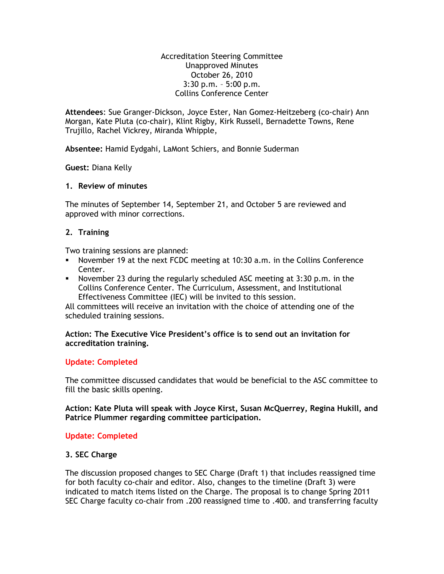Accreditation Steering Committee Unapproved Minutes October 26, 2010 3:30 p.m. – 5:00 p.m. Collins Conference Center

**Attendees**: Sue Granger-Dickson, Joyce Ester, Nan Gomez-Heitzeberg (co-chair) Ann Morgan, Kate Pluta (co-chair), Klint Rigby, Kirk Russell, Bernadette Towns, Rene Trujillo, Rachel Vickrey, Miranda Whipple,

**Absentee:** Hamid Eydgahi, LaMont Schiers, and Bonnie Suderman

**Guest:** Diana Kelly

## **1. Review of minutes**

The minutes of September 14, September 21, and October 5 are reviewed and approved with minor corrections.

# **2. Training**

Two training sessions are planned:

- November 19 at the next FCDC meeting at 10:30 a.m. in the Collins Conference Center.
- November 23 during the regularly scheduled ASC meeting at 3:30 p.m. in the Collins Conference Center. The Curriculum, Assessment, and Institutional Effectiveness Committee (IEC) will be invited to this session.

All committees will receive an invitation with the choice of attending one of the scheduled training sessions.

## **Action: The Executive Vice President's office is to send out an invitation for accreditation training.**

### **Update: Completed**

The committee discussed candidates that would be beneficial to the ASC committee to fill the basic skills opening.

**Action: Kate Pluta will speak with Joyce Kirst, Susan McQuerrey, Regina Hukill, and Patrice Plummer regarding committee participation.**

# **Update: Completed**

# **3. SEC Charge**

The discussion proposed changes to SEC Charge (Draft 1) that includes reassigned time for both faculty co-chair and editor. Also, changes to the timeline (Draft 3) were indicated to match items listed on the Charge. The proposal is to change Spring 2011 SEC Charge faculty co-chair from .200 reassigned time to .400. and transferring faculty